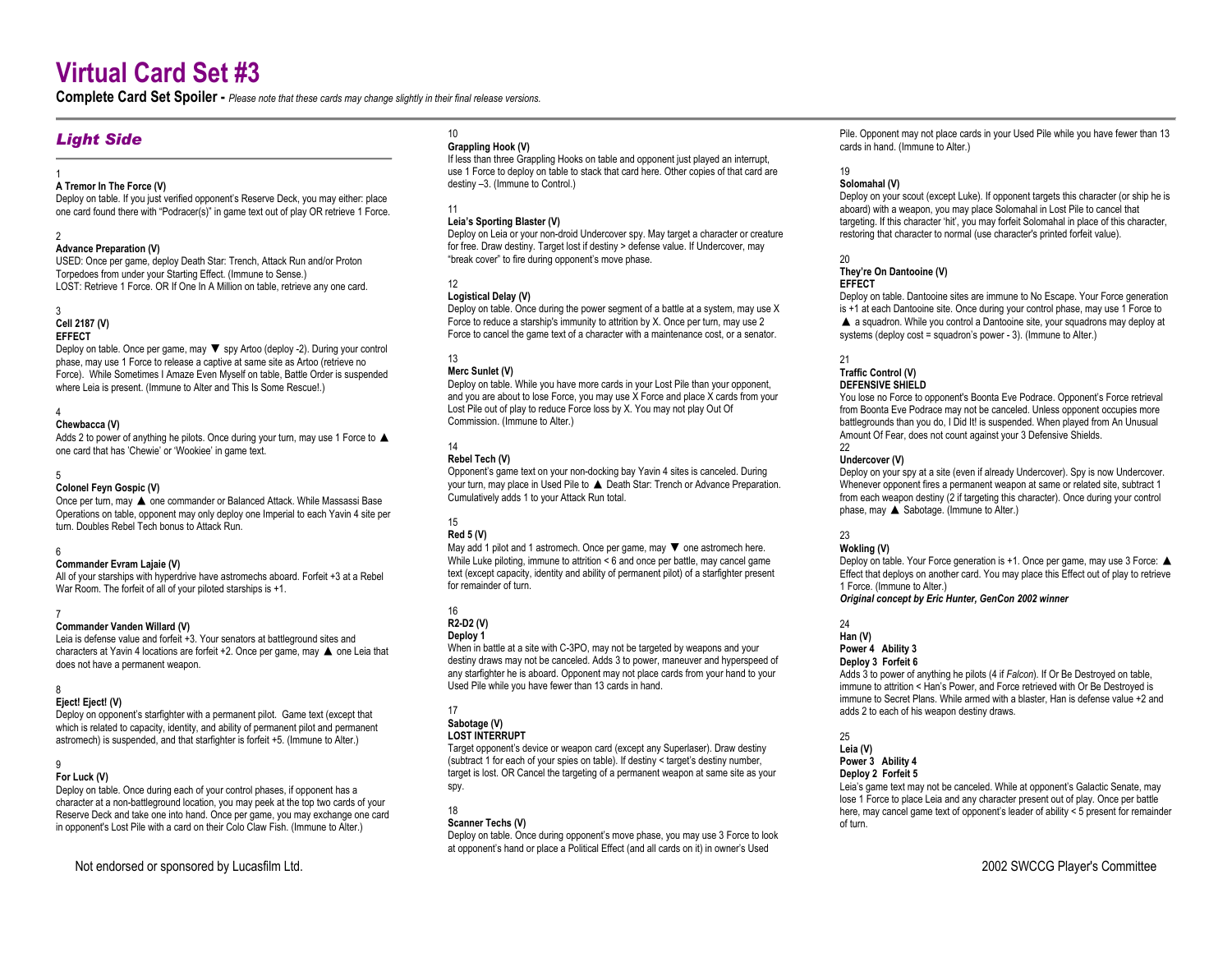# **Virtual Card Set #3**

**Complete Card Set Spoiler -** *Please note that these cards may change slightly in their final release versions.*

## *Light Side*

#### 1

#### **A Tremor In The Force (V)**

Deploy on table. If you just verified opponent's Reserve Deck, you may either: place one card found there with "Podracer(s)" in game text out of play OR retrieve 1 Force. <sup>11</sup>

## $\overline{2}$

 **Advance Preparation (V)**  USED: Once per game, deploy Death Star: Trench, Attack Run and/or Proton Torpedoes from under your Starting Effect. (Immune to Sense.)

LOST: Retrieve 1 Force. OR If One In A Million on table, retrieve any one card.

## 3

## **Cell 2187 (V)**

#### **EFFECT**

Deploy on table. Once per game, may  $\nabla$  spy Artoo (deploy -2). During your control phase, may use 1 Force to release a captive at same site as Artoo (retrieve no Force). While Sometimes I Amaze Even Myself on table, Battle Order is suspended where Leia is present. (Immune to Alter and This Is Some Rescue!.)

## 4

## **Chewbacca (V)**

Adds 2 to power of anything he pilots. Once during your turn, may use 1 Force to  $\triangle$ one card that has 'Chewie' or 'Wookiee' in game text.<br>The card that has 'Chewie' or 'Wookiee' in game text.

## 5

### **Colonel Feyn Gospic (V)**

Once per turn, may  $\blacktriangle$  one commander or Balanced Attack. While Massassi Base Operations on table, opponent may only deploy one Imperial to each Yavin 4 site per turn. Doubles Rebel Tech bonus to Attack Run. $15$ 

#### **Commander Evram Lajaie (V)**

All of your starships with hyperdrive have astromechs aboard. Forfeit +3 at a Rebel War Room. The forfeit of all of your piloted starships is +1.

#### 7

### **Commander Vanden Willard (V)**

Leia is defense value and forfeit +3. Your senators at battleground sites and characters at Yavin 4 locations are forfeit +2. Once per game, may ▲ one Leia that does not have a permanent weapon.

#### 8

#### **Eject! Eject! (V)**

Deploy on opponent's starfighter with a permanent pilot. Game text (except that which is related to capacity, identity, and ability of permanent pilot and permanent astromech) is suspended, and that starfighter is forfeit +5. (Immune to Alter.)

## 9

#### **For Luck (V)**  Deploy on table. Once during each of your control phases, if opponent has a character at a non-battleground location, you may peek at the top two cards of your Reserve Deck and take one into hand. Once per game, you may exchange one card in opponent's Lost Pile with a card on their Colo Claw Fish. (Immune to Alter.)

#### Not endorsed or sponsored by Lucasfilm Ltd.  $2002$  SWCCG Player's Committee

#### 10 **Grappling Hook (V)**

If less than three Grappling Hooks on table and opponent just played an interrupt, use 1 Force to deploy on table to stack that card here. Other copies of that card are destiny –3. (Immune to Control.)

## **Leia's Sporting Blaster (V)**

Deploy on Leia or your non-droid Undercover spy. May target a character or creature for free. Draw destiny. Target lost if destiny > defense value. If Undercover, may "break cover" to fire during opponent's move phase.

#### 12 **Logistical Delay (V)**

Deploy on table. Once during the power segment of a battle at a system, may use X Force to reduce a starship's immunity to attrition by X. Once per turn, may use 2 Force to cancel the game text of a character with a maintenance cost, or a senator.

#### 13 **Merc Sunlet (V)**

Deploy on table. While you have more cards in your Lost Pile than your opponent, and you are about to lose Force, you may use X Force and place X cards from your Lost Pile out of play to reduce Force loss by X. You may not play Out Of Commission. (Immune to Alter.)

Opponent's game text on your non-docking bay Yavin 4 sites is canceled. During your turn, may place in Used Pile to  $\triangle$  Death Star: Trench or Advance Preparation. Cumulatively adds 1 to your Attack Run total.

## **Red 5 (V)**

May add 1 pilot and 1 astromech. Once per game, may , one astromech here. **Wokling (V)** 6 While Luke piloting, immune to attrition < 6 and once per battle, may cancel game text (except capacity, identity and ability of permanent pilot) of a starfighter present for remainder of turn.

#### 16 **R2-D2 (V)**

#### **Deploy 1**

When in battle at a site with C-3PO, may not be targeted by weapons and your destiny draws may not be canceled. Adds 3 to power, maneuver and hyperspeed of any starfighter he is aboard. Opponent may not place cards from your hand to your Used Pile while you have fewer than 13 cards in hand.

## 17

#### **Sabotage (V) LOST INTERRUPT**

 Target opponent's device or weapon card (except any Superlaser). Draw destiny (subtract 1 for each of your spies on table). If destiny < target's destiny number, target is lost. OR Cancel the targeting of a permanent weapon at same site as your spy.

#### 18 **Scanner Techs (V)**

Deploy on table. Once during opponent's move phase, you may use 3 Force to look at opponent's hand or place a Political Effect (and all cards on it) in owner's Used

Pile. Opponent may not place cards in your Used Pile while you have fewer than 13 cards in hand. (Immune to Alter.)

#### 19

#### **Solomahal (V)**

Deploy on your scout (except Luke). If opponent targets this character (or ship he is aboard) with a weapon, you may place Solomahal in Lost Pile to cancel that targeting. If this character 'hit', you may forfeit Solomahal in place of this character, restoring that character to normal (use character's printed forfeit value).

## 20

#### **They're On Dantooine (V) EFFECT**

 Deploy on table. Dantooine sites are immune to No Escape. Your Force generation is +1 at each Dantooine site. Once during your control phase, may use 1 Force to ▲ a squadron. While you control a Dantooine site, your squadrons may deploy at systems (deploy cost = squadron's power - 3). (Immune to Alter.)

#### $21$  **Traffic Control (V) DEFENSIVE SHIELD**

 You lose no Force to opponent's Boonta Eve Podrace. Opponent's Force retrieval from Boonta Eve Podrace may not be canceled. Unless opponent occupies more battlegrounds than you do, I Did It! is suspended. When played from An Unusual Amount Of Fear, does not count against your 3 Defensive Shields. 22

#### **Undercover (V)**

Deploy on your spy at a site (even if already Undercover). Spy is now Undercover. Whenever opponent fires a permanent weapon at same or related site, subtract 1 from each weapon destiny (2 if targeting this character). Once during your control phase, may ▲ Sabotage. (Immune to Alter.)

## 23

## Wokling (V)

Deploy on table. Your Force generation is +1. Once per game, may use 3 Force: ▲ Effect that deploys on another card. You may place this Effect out of play to retrieve 1 Force. (Immune to Alter.)

*Original concept by Eric Hunter, GenCon 2002 winner* 

## 24

#### **Han (V) Power 4 Ability 3**

#### **Deploy 3 Forfeit 6**

Adds 3 to power of anything he pilots (4 if *Falcon*). If Or Be Destroyed on table, immune to attrition < Han's Power, and Force retrieved with Or Be Destroyed is immune to Secret Plans. While armed with a blaster, Han is defense value +2 and adds 2 to each of his weapon destiny draws.

#### 25 **Leia (V) Power 3 Ability 4**

#### **Deploy 2 Forfeit 5**

Leia's game text may not be canceled. While at opponent's Galactic Senate, may lose 1 Force to place Leia and any character present out of play. Once per battle here, may cancel game text of opponent's leader of ability < 5 present for remainder of turn.